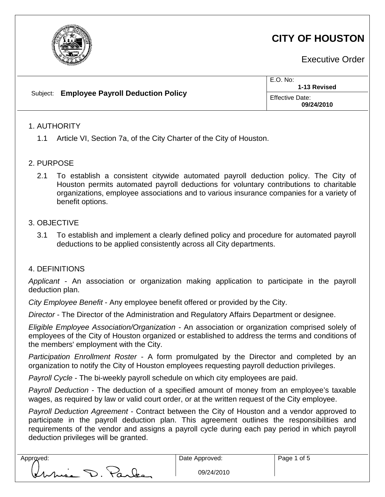

## **CITY OF HOUSTON**

Executive Order

| Effective Date:<br>09/24/2010 |  | Subject: Employee Payroll Deduction Policy | E.O. No:<br>1-13 Revised |  |
|-------------------------------|--|--------------------------------------------|--------------------------|--|
|                               |  |                                            |                          |  |

## 1. AUTHORITY

1.1 Article VI, Section 7a, of the City Charter of the City of Houston.

## 2. PURPOSE

2.1 To establish a consistent citywide automated payroll deduction policy. The City of Houston permits automated payroll deductions for voluntary contributions to charitable organizations, employee associations and to various insurance companies for a variety of benefit options.

## 3. OBJECTIVE

3.1 To establish and implement a clearly defined policy and procedure for automated payroll deductions to be applied consistently across all City departments.

#### 4. DEFINITIONS

*Applicant* - An association or organization making application to participate in the payroll deduction plan.

*City Employee Benefit* - Any employee benefit offered or provided by the City.

*Director* - The Director of the Administration and Regulatory Affairs Department or designee.

*Eligible Employee Association/Organization -* An association or organization comprised solely of employees of the City of Houston organized or established to address the terms and conditions of the members' employment with the City.

*Participation Enrollment Roster* - A form promulgated by the Director and completed by an organization to notify the City of Houston employees requesting payroll deduction privileges.

*Payroll Cycle* - The bi-weekly payroll schedule on which city employees are paid.

*Payroll Deduction* - The deduction of a specified amount of money from an employee's taxable wages, as required by law or valid court order, or at the written request of the City employee.

*Payroll Deduction Agreement* - Contract between the City of Houston and a vendor approved to participate in the payroll deduction plan. This agreement outlines the responsibilities and requirements of the vendor and assigns a payroll cycle during each pay period in which payroll deduction privileges will be granted.

Approved:  $\Box$  Date Approved: his D. Parke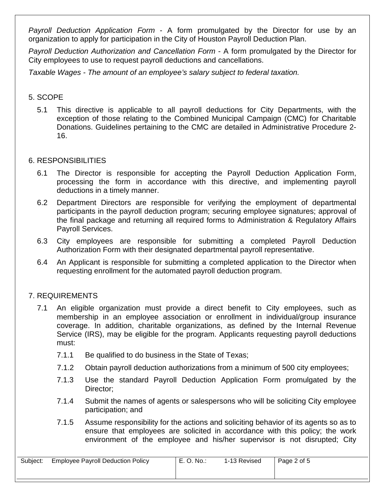*Payroll Deduction Application Form* - A form promulgated by the Director for use by an organization to apply for participation in the City of Houston Payroll Deduction Plan.

*Payroll Deduction Authorization and Cancellation Form* - A form promulgated by the Director for City employees to use to request payroll deductions and cancellations.

*Taxable Wages - The amount of an employee's salary subject to federal taxation.*

## 5. SCOPE

5.1 This directive is applicable to all payroll deductions for City Departments, with the exception of those relating to the Combined Municipal Campaign (CMC) for Charitable Donations. Guidelines pertaining to the CMC are detailed in Administrative Procedure 2- 16.

## 6. RESPONSIBILITIES

- 6.1 The Director is responsible for accepting the Payroll Deduction Application Form, processing the form in accordance with this directive, and implementing payroll deductions in a timely manner.
- 6.2 Department Directors are responsible for verifying the employment of departmental participants in the payroll deduction program; securing employee signatures; approval of the final package and returning all required forms to Administration & Regulatory Affairs Payroll Services.
- 6.3 City employees are responsible for submitting a completed Payroll Deduction Authorization Form with their designated departmental payroll representative.
- 6.4 An Applicant is responsible for submitting a completed application to the Director when requesting enrollment for the automated payroll deduction program.

## 7. REQUIREMENTS

- 7.1 An eligible organization must provide a direct benefit to City employees, such as membership in an employee association or enrollment in individual/group insurance coverage. In addition, charitable organizations, as defined by the Internal Revenue Service (IRS), may be eligible for the program. Applicants requesting payroll deductions must:
	- 7.1.1 Be qualified to do business in the State of Texas;
	- 7.1.2 Obtain payroll deduction authorizations from a minimum of 500 city employees;
	- 7.1.3 Use the standard Payroll Deduction Application Form promulgated by the Director;
	- 7.1.4 Submit the names of agents or salespersons who will be soliciting City employee participation; and
	- 7.1.5 Assume responsibility for the actions and soliciting behavior of its agents so as to ensure that employees are solicited in accordance with this policy; the work environment of the employee and his/her supervisor is not disrupted; City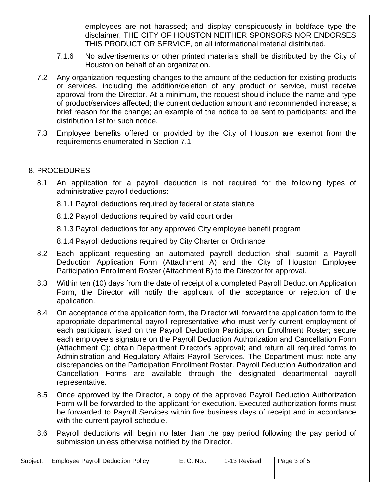employees are not harassed; and display conspicuously in boldface type the disclaimer, THE CITY OF HOUSTON NEITHER SPONSORS NOR ENDORSES THIS PRODUCT OR SERVICE, on all informational material distributed.

- 7.1.6 No advertisements or other printed materials shall be distributed by the City of Houston on behalf of an organization.
- 7.2 Any organization requesting changes to the amount of the deduction for existing products or services, including the addition/deletion of any product or service, must receive approval from the Director. At a minimum, the request should include the name and type of product/services affected; the current deduction amount and recommended increase; a brief reason for the change; an example of the notice to be sent to participants; and the distribution list for such notice.
- 7.3 Employee benefits offered or provided by the City of Houston are exempt from the requirements enumerated in Section 7.1.

## 8. PROCEDURES

- 8.1 An application for a payroll deduction is not required for the following types of administrative payroll deductions:
	- 8.1.1 Payroll deductions required by federal or state statute
	- 8.1.2 Payroll deductions required by valid court order
	- 8.1.3 Payroll deductions for any approved City employee benefit program
	- 8.1.4 Payroll deductions required by City Charter or Ordinance
- 8.2 Each applicant requesting an automated payroll deduction shall submit a Payroll Deduction Application Form (Attachment A) and the City of Houston Employee Participation Enrollment Roster (Attachment B) to the Director for approval.
- 8.3 Within ten (10) days from the date of receipt of a completed Payroll Deduction Application Form, the Director will notify the applicant of the acceptance or rejection of the application.
- 8.4 On acceptance of the application form, the Director will forward the application form to the appropriate departmental payroll representative who must verify current employment of each participant listed on the Payroll Deduction Participation Enrollment Roster; secure each employee's signature on the Payroll Deduction Authorization and Cancellation Form (Attachment C); obtain Department Director's approval; and return all required forms to Administration and Regulatory Affairs Payroll Services. The Department must note any discrepancies on the Participation Enrollment Roster. Payroll Deduction Authorization and Cancellation Forms are available through the designated departmental payroll representative.
- 8.5 Once approved by the Director, a copy of the approved Payroll Deduction Authorization Form will be forwarded to the applicant for execution. Executed authorization forms must be forwarded to Payroll Services within five business days of receipt and in accordance with the current payroll schedule.
- 8.6 Payroll deductions will begin no later than the pay period following the pay period of submission unless otherwise notified by the Director.

| Subject: | <b>Employee Payroll Deduction Policy</b> | E<br>O. No.: | 1-13 Revised | Page 3 of 5 |
|----------|------------------------------------------|--------------|--------------|-------------|
|          |                                          |              |              |             |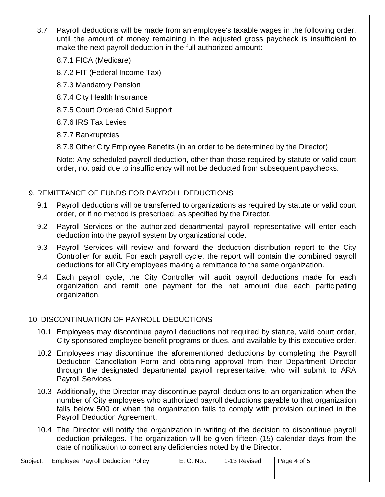- 8.7 Payroll deductions will be made from an employee's taxable wages in the following order, until the amount of money remaining in the adjusted gross paycheck is insufficient to make the next payroll deduction in the full authorized amount:
	- 8.7.1 FICA (Medicare)
	- 8.7.2 FIT (Federal Income Tax)
	- 8.7.3 Mandatory Pension
	- 8.7.4 City Health Insurance
	- 8.7.5 Court Ordered Child Support
	- 8.7.6 IRS Tax Levies
	- 8.7.7 Bankruptcies
	- 8.7.8 Other City Employee Benefits (in an order to be determined by the Director)

Note: Any scheduled payroll deduction, other than those required by statute or valid court order, not paid due to insufficiency will not be deducted from subsequent paychecks.

## 9. REMITTANCE OF FUNDS FOR PAYROLL DEDUCTIONS

- 9.1 Payroll deductions will be transferred to organizations as required by statute or valid court order, or if no method is prescribed, as specified by the Director.
- 9.2 Payroll Services or the authorized departmental payroll representative will enter each deduction into the payroll system by organizational code.
- 9.3 Payroll Services will review and forward the deduction distribution report to the City Controller for audit. For each payroll cycle, the report will contain the combined payroll deductions for all City employees making a remittance to the same organization.
- 9.4 Each payroll cycle, the City Controller will audit payroll deductions made for each organization and remit one payment for the net amount due each participating organization.

## 10. DISCONTINUATION OF PAYROLL DEDUCTIONS

- 10.1 Employees may discontinue payroll deductions not required by statute, valid court order, City sponsored employee benefit programs or dues, and available by this executive order.
- 10.2 Employees may discontinue the aforementioned deductions by completing the Payroll Deduction Cancellation Form and obtaining approval from their Department Director through the designated departmental payroll representative, who will submit to ARA Payroll Services.
- 10.3 Additionally, the Director may discontinue payroll deductions to an organization when the number of City employees who authorized payroll deductions payable to that organization falls below 500 or when the organization fails to comply with provision outlined in the Payroll Deduction Agreement.
- 10.4 The Director will notify the organization in writing of the decision to discontinue payroll deduction privileges. The organization will be given fifteen (15) calendar days from the date of notification to correct any deficiencies noted by the Director.

| Subject: | <b>Employee Payroll Deduction Policy</b> | E. O. No.: | 1-13 Revised | Page 4 of 5 |
|----------|------------------------------------------|------------|--------------|-------------|
|          |                                          |            |              |             |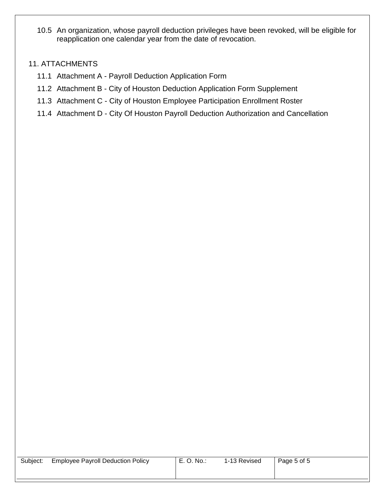10.5 An organization, whose payroll deduction privileges have been revoked, will be eligible for reapplication one calendar year from the date of revocation.

## 11. ATTACHMENTS

- 11.1 Attachment A Payroll Deduction Application Form
- 11.2 Attachment B City of Houston Deduction Application Form Supplement
- 11.3 Attachment C City of Houston Employee Participation Enrollment Roster
- 11.4 Attachment D City Of Houston Payroll Deduction Authorization and Cancellation

| Subject: | <b>Employee Payroll Deduction Policy</b> |  |
|----------|------------------------------------------|--|
|----------|------------------------------------------|--|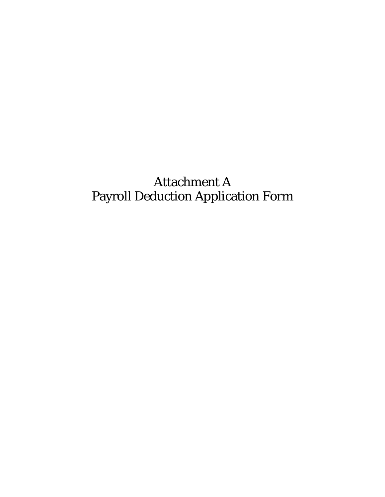# Attachment A Payroll Deduction Application Form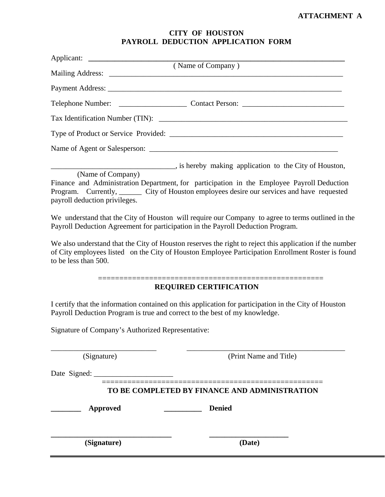## **CITY OF HOUSTON PAYROLL DEDUCTION APPLICATION FORM**

| Applicant: (Name of Company)                       |                                                                                                                                                                                                                                                    |
|----------------------------------------------------|----------------------------------------------------------------------------------------------------------------------------------------------------------------------------------------------------------------------------------------------------|
|                                                    |                                                                                                                                                                                                                                                    |
|                                                    |                                                                                                                                                                                                                                                    |
|                                                    |                                                                                                                                                                                                                                                    |
|                                                    |                                                                                                                                                                                                                                                    |
|                                                    |                                                                                                                                                                                                                                                    |
|                                                    |                                                                                                                                                                                                                                                    |
|                                                    |                                                                                                                                                                                                                                                    |
| (Name of Company)<br>payroll deduction privileges. | is hereby making application to the City of Houston,<br>Finance and Administration Department, for participation in the Employee Payroll Deduction<br>Program. Currently, _______ City of Houston employees desire our services and have requested |
|                                                    | We understand that the City of Houston will require our Company to agree to terms outlined in the<br>Payroll Deduction Agreement for participation in the Payroll Deduction Program.                                                               |
| to be less than 500.                               | We also understand that the City of Houston reserves the right to reject this application if the number<br>of City employees listed on the City of Houston Employee Participation Enrollment Roster is found                                       |
|                                                    | <b>REQUIRED CERTIFICATION</b>                                                                                                                                                                                                                      |
|                                                    | I certify that the information contained on this application for participation in the City of Houston<br>Payroll Deduction Program is true and correct to the best of my knowledge.                                                                |
| Signature of Company's Authorized Representative:  |                                                                                                                                                                                                                                                    |
| (Signature)                                        | (Print Name and Title)                                                                                                                                                                                                                             |
|                                                    |                                                                                                                                                                                                                                                    |
|                                                    | TO BE COMPLETED BY FINANCE AND ADMINISTRATION                                                                                                                                                                                                      |
| <b>Approved</b>                                    | <b>Denied</b>                                                                                                                                                                                                                                      |
| (Signature)                                        | (Date)                                                                                                                                                                                                                                             |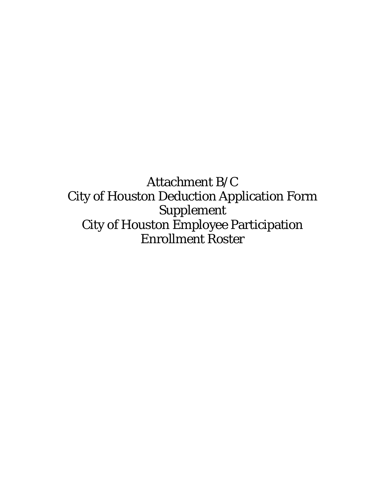Attachment B/C City of Houston Deduction Application Form Supplement City of Houston Employee Participation Enrollment Roster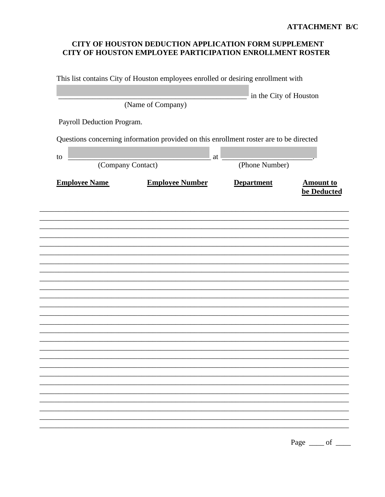## CITY OF HOUSTON DEDUCTION APPLICATION FORM SUPPLEMENT CITY OF HOUSTON EMPLOYEE PARTICIPATION ENROLLMENT ROSTER

|                            | This list contains City of Houston employees enrolled or desiring enrollment with      |                        |                                 |
|----------------------------|----------------------------------------------------------------------------------------|------------------------|---------------------------------|
|                            |                                                                                        | in the City of Houston |                                 |
|                            | (Name of Company)                                                                      |                        |                                 |
| Payroll Deduction Program. |                                                                                        |                        |                                 |
|                            |                                                                                        |                        |                                 |
|                            | Questions concerning information provided on this enrollment roster are to be directed |                        |                                 |
| to                         | at                                                                                     |                        |                                 |
|                            | (Company Contact)                                                                      | (Phone Number)         |                                 |
| <b>Employee Name</b>       | <b>Employee Number</b>                                                                 | <b>Department</b>      | <b>Amount to</b><br>be Deducted |
|                            |                                                                                        |                        |                                 |
|                            |                                                                                        |                        |                                 |
|                            |                                                                                        |                        |                                 |
|                            |                                                                                        |                        |                                 |
|                            |                                                                                        |                        |                                 |
|                            |                                                                                        |                        |                                 |
|                            |                                                                                        |                        |                                 |
|                            |                                                                                        |                        |                                 |
|                            |                                                                                        |                        |                                 |
|                            |                                                                                        |                        |                                 |
|                            |                                                                                        |                        |                                 |
|                            |                                                                                        |                        |                                 |
|                            |                                                                                        |                        |                                 |
|                            |                                                                                        |                        |                                 |
|                            |                                                                                        |                        |                                 |
|                            |                                                                                        |                        |                                 |
|                            |                                                                                        |                        |                                 |
|                            |                                                                                        |                        |                                 |
|                            |                                                                                        |                        |                                 |
|                            |                                                                                        |                        |                                 |

Page  $\_\_$  of  $\_\_$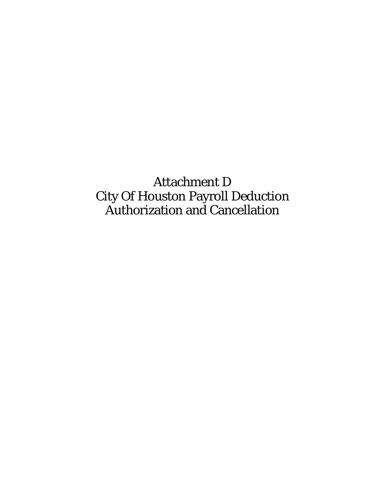Attachment D City Of Houston Payroll Deduction Authorization and Cancellation